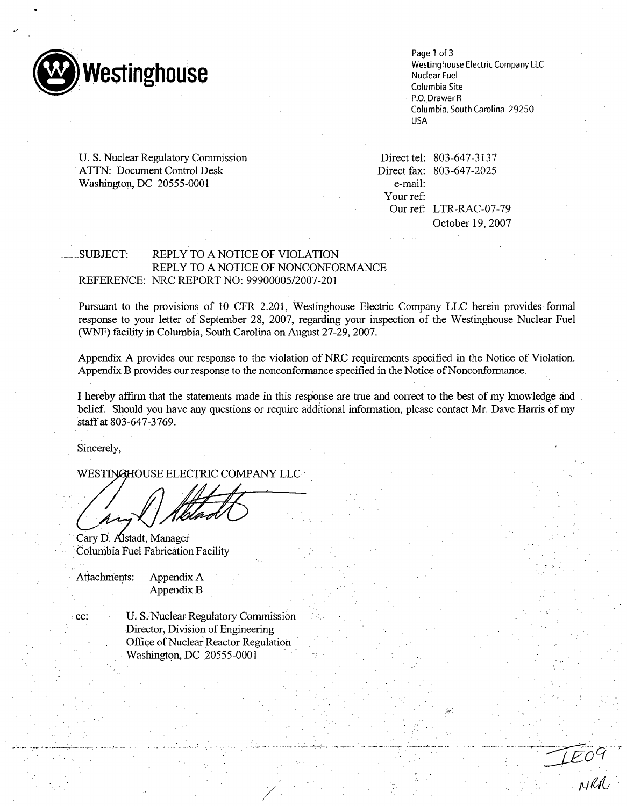

Page 1 of 3 Westinghouse Electric Company LLC Nuclear Fuel Columbia Site P.O. Drawer R Columbia, South Carolina 29250 USA

U. S. Nuclear Regulatory Commission **ATTN:** Document Control Desk Washington, DC 20555-0001

Direct tel: 803-647-3137 Direct fax: 803-647-2025 e-mail: Your ref: Our ref: LTR-RAC-07-79 October 19, 2007

### -SUBJECT: REPLY TO A NOTICE OF VIOLATION REPLY TO A NOTICE OF NONCONFORMANCE REFERENCE: NRC REPORT NO: 99900005/2007-201

Pursuant to the provisions of 10 CFR 2.201, Westinghouse Electric Company LLC herein provides formal response to your letter of September 28, 2007, regarding your inspection of the Westinghouse Nuclear Fuel (WNF) facility in Columbia, South Carolina on August 27-29, 2007.

Appendix A provides our response to the violation of NRC requirements specified in the Notice of Violation. Appendix B provides our response to the nonconformance specified in the Notice of Nonconformance.

I hereby affirm that the statements made in this response are true and correct to the best of my knowledge and belief. Should you have any questions or require additional information, please contact Mr. Dave Harris of my staff at 803-647-3769.

Sincerely,

WESTINGHOUSE ELECTRIC COMPANY LLC

Cary D. Alstadt, Manager Columbia Fuel Fabrication Facility

Attachments: Appendix A Appendix B

cc: **U. S. Nuclear Regulatory Commission** 

Director, Division of Engineering Office of Nuclear Reactor Regulation Washington, DC 20555-0001

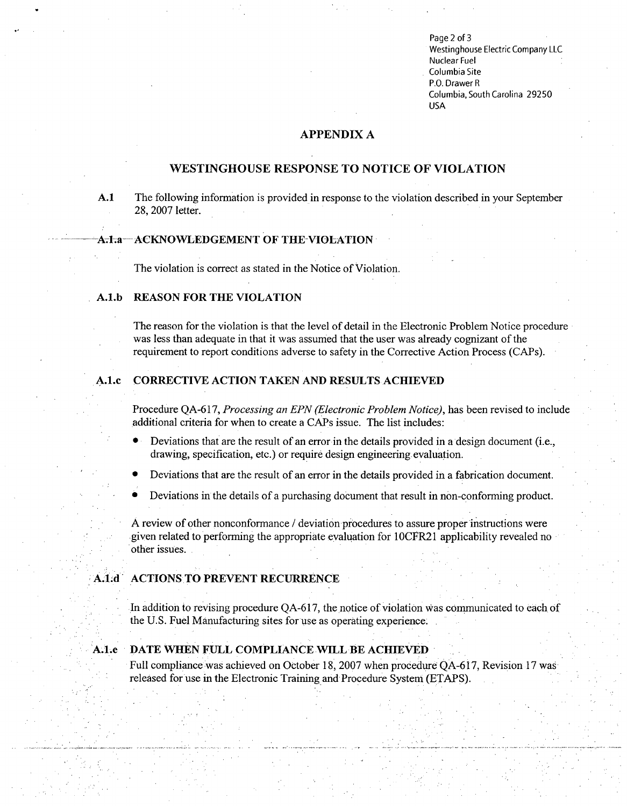Page 2 of 3 Westinghouse Electric Company **LLC** Nuclear Fuel Columbia Site P.O. Drawer R Columbia, South Carolina 29250 USA

# **APPENDIX A**

# **WESTINGHOUSE RESPONSE** TO **NOTICE** OF VIOLATION

**A.1** The following information is provided in response to the violation described in your September 28, 2007 letter.

### **A.1.a-- ACKNOWLEDGEMENT OF THE VIOLATION**

The violation is correct as stated in the Notice of Violation.

#### **A.l.b REASON** FOR THE **VIOLATION**

The reason for the violation is that the level of detail in the Electronic Problem Notice procedure was less than adequate in that it was assumed that the user was already cognizant of the requirement to report conditions adverse to safety in the Corrective Action Process (CAPs).

#### **A.l.c** CORRECTIVE **ACTION TAKEN AND** RESULTS **ACHIEVED**

Procedure QA-617, *Processing an EPN (Electronic Problem Notice),* has been revised to include additional criteria for when to create a CAPs issue. The list includes:

- **0** Deviations that are the result of an error in the details provided in a design document (i.e., drawing, specification, etc.) or require design engineering evaluation.
- **0** Deviations that are the result of an error in the details provided in a fabrication document.
- Deviations in the details of a purchasing document that result in non-conforming product.

A review of other nonconformance / deviation procedures to assure proper instructions were given related to performing the appropriate evaluation for 1 OCFR21 applicability revealed no other issues.

### **A.1.d ACTIONS TO PREVENT RECURRENCE**

In addition to revising procedure QA-617, the notice of violation Was communicated to each of the U.S. Fuel Manufacturing sites for use as operating experience.

### A.1;e **DATE WHEN FULL COMPLIANCE** WILL BE **ACHIEVED**

Full compliance was achieved on October **18,** 2007 when procedure QA-6 **17,** Revision 17 was released for use in the Electronic Training and Procedure System (ETAPS).